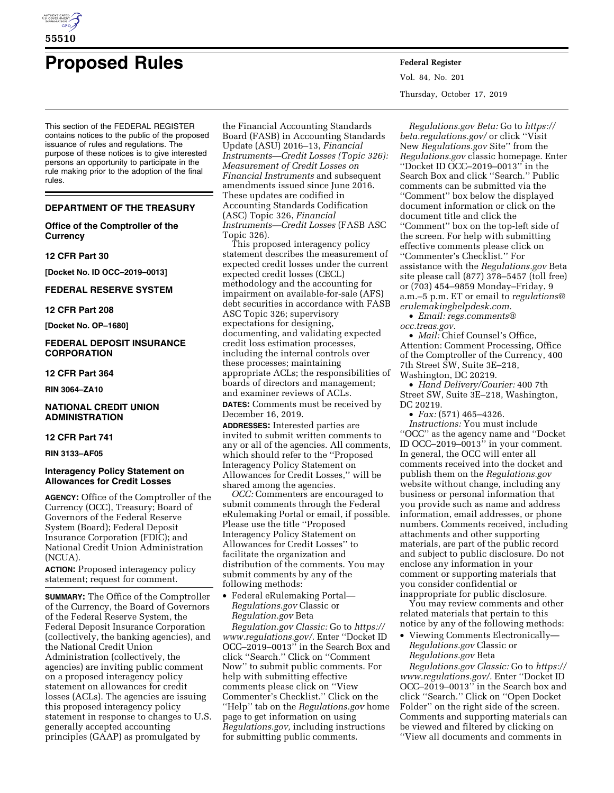

# **Proposed Rules Federal Register**

This section of the FEDERAL REGISTER contains notices to the public of the proposed issuance of rules and regulations. The purpose of these notices is to give interested persons an opportunity to participate in the rule making prior to the adoption of the final rules.

## **DEPARTMENT OF THE TREASURY**

**Office of the Comptroller of the Currency** 

#### **12 CFR Part 30**

**[Docket No. ID OCC–2019–0013]** 

## **FEDERAL RESERVE SYSTEM**

# **12 CFR Part 208**

**[Docket No. OP–1680]** 

# **FEDERAL DEPOSIT INSURANCE CORPORATION**

# **12 CFR Part 364**

**RIN 3064–ZA10** 

# **NATIONAL CREDIT UNION ADMINISTRATION**

#### **12 CFR Part 741**

**RIN 3133–AF05** 

#### **Interagency Policy Statement on Allowances for Credit Losses**

**AGENCY:** Office of the Comptroller of the Currency (OCC), Treasury; Board of Governors of the Federal Reserve System (Board); Federal Deposit Insurance Corporation (FDIC); and National Credit Union Administration (NCUA).

**ACTION:** Proposed interagency policy statement; request for comment.

**SUMMARY:** The Office of the Comptroller of the Currency, the Board of Governors of the Federal Reserve System, the Federal Deposit Insurance Corporation (collectively, the banking agencies), and the National Credit Union Administration (collectively, the agencies) are inviting public comment on a proposed interagency policy statement on allowances for credit losses (ACLs). The agencies are issuing this proposed interagency policy statement in response to changes to U.S. generally accepted accounting principles (GAAP) as promulgated by

the Financial Accounting Standards Board (FASB) in Accounting Standards Update (ASU) 2016–13, *Financial Instruments—Credit Losses (Topic 326): Measurement of Credit Losses on Financial Instruments* and subsequent amendments issued since June 2016. These updates are codified in Accounting Standards Codification (ASC) Topic 326, *Financial Instruments—Credit Losses* (FASB ASC Topic 326).

This proposed interagency policy statement describes the measurement of expected credit losses under the current expected credit losses (CECL) methodology and the accounting for impairment on available-for-sale (AFS) debt securities in accordance with FASB ASC Topic 326; supervisory expectations for designing, documenting, and validating expected credit loss estimation processes, including the internal controls over these processes; maintaining appropriate ACLs; the responsibilities of boards of directors and management; and examiner reviews of ACLs.

**DATES:** Comments must be received by December 16, 2019.

**ADDRESSES:** Interested parties are invited to submit written comments to any or all of the agencies. All comments, which should refer to the ''Proposed Interagency Policy Statement on Allowances for Credit Losses,'' will be shared among the agencies.

*OCC:* Commenters are encouraged to submit comments through the Federal eRulemaking Portal or email, if possible. Please use the title ''Proposed Interagency Policy Statement on Allowances for Credit Losses'' to facilitate the organization and distribution of the comments. You may submit comments by any of the following methods:

• Federal eRulemaking Portal— *Regulations.gov* Classic or *Regulation.gov* Beta

*Regulation.gov Classic:* Go to *[https://](https://www.regulations.gov/)  [www.regulations.gov/.](https://www.regulations.gov/)* Enter ''Docket ID OCC–2019–0013'' in the Search Box and click ''Search.'' Click on ''Comment Now'' to submit public comments. For help with submitting effective comments please click on ''View Commenter's Checklist.'' Click on the ''Help'' tab on the *Regulations.gov* home page to get information on using *Regulations.gov,* including instructions for submitting public comments.

Vol. 84, No. 201 Thursday, October 17, 2019

*Regulations.gov Beta:* Go to *[https://](https://beta.regulations.gov/) [beta.regulations.gov/](https://beta.regulations.gov/)* or click ''Visit New *Regulations.gov* Site'' from the *Regulations.gov* classic homepage. Enter ''Docket ID OCC–2019–0013'' in the Search Box and click ''Search.'' Public comments can be submitted via the ''Comment'' box below the displayed document information or click on the document title and click the ''Comment'' box on the top-left side of the screen. For help with submitting effective comments please click on ''Commenter's Checklist.'' For assistance with the *Regulations.gov* Beta site please call (877) 378–5457 (toll free) or (703) 454–9859 Monday–Friday, 9 a.m.–5 p.m. ET or email to *[regulations@](mailto:regulations@erulemakinghelpdesk.com) [erulemakinghelpdesk.com.](mailto:regulations@erulemakinghelpdesk.com)* 

• *Email: [regs.comments@](mailto:regs.comments@occ.treas.gov) [occ.treas.gov.](mailto:regs.comments@occ.treas.gov)* 

• *Mail:* Chief Counsel's Office, Attention: Comment Processing, Office of the Comptroller of the Currency, 400 7th Street SW, Suite 3E–218, Washington, DC 20219.

• *Hand Delivery/Courier:* 400 7th Street SW, Suite 3E–218, Washington, DC 20219.

• *Fax:* (571) 465–4326.

*Instructions:* You must include ''OCC'' as the agency name and ''Docket ID OCC–2019–0013'' in your comment. In general, the OCC will enter all comments received into the docket and publish them on the *Regulations.gov*  website without change, including any business or personal information that you provide such as name and address information, email addresses, or phone numbers. Comments received, including attachments and other supporting materials, are part of the public record and subject to public disclosure. Do not enclose any information in your comment or supporting materials that you consider confidential or inappropriate for public disclosure.

You may review comments and other related materials that pertain to this notice by any of the following methods:

• Viewing Comments Electronically— *Regulations.gov* Classic or *Regulations.gov* Beta

*Regulations.gov Classic:* Go to *[https://](https://www.regulations.gov/)  [www.regulations.gov/.](https://www.regulations.gov/)* Enter ''Docket ID OCC–2019–0013'' in the Search box and click ''Search.'' Click on ''Open Docket Folder'' on the right side of the screen. Comments and supporting materials can be viewed and filtered by clicking on ''View all documents and comments in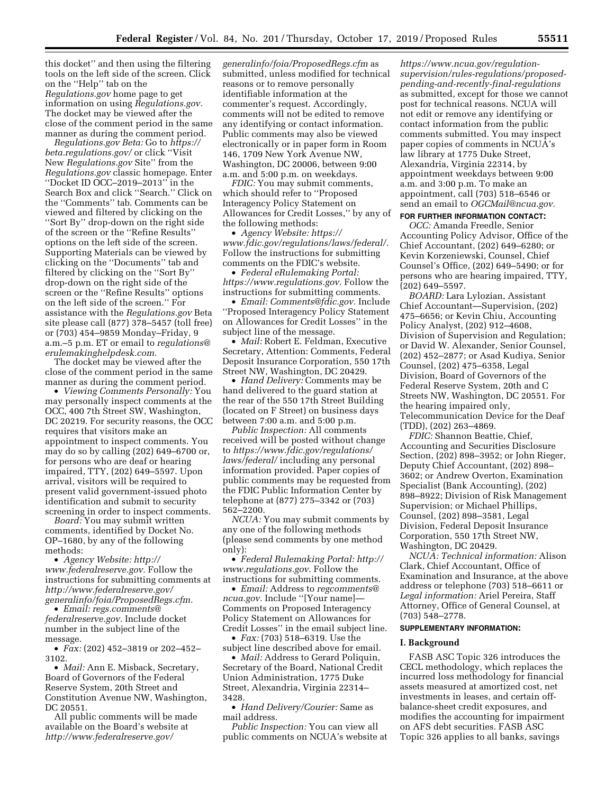this docket'' and then using the filtering tools on the left side of the screen. Click on the ''Help'' tab on the *Regulations.gov* home page to get information on using *Regulations.gov.*  The docket may be viewed after the close of the comment period in the same manner as during the comment period.

*Regulations.gov Beta:* Go to *[https://](https://beta.regulations.gov/) [beta.regulations.gov/](https://beta.regulations.gov/)* or click ''Visit New *Regulations.gov* Site'' from the *Regulations.gov* classic homepage. Enter ''Docket ID OCC–2019–2013'' in the Search Box and click ''Search.'' Click on the ''Comments'' tab. Comments can be viewed and filtered by clicking on the ''Sort By'' drop-down on the right side of the screen or the ''Refine Results'' options on the left side of the screen. Supporting Materials can be viewed by clicking on the ''Documents'' tab and filtered by clicking on the ''Sort By'' drop-down on the right side of the screen or the ''Refine Results'' options on the left side of the screen.'' For assistance with the *Regulations.gov* Beta site please call (877) 378–5457 (toll free) or (703) 454–9859 Monday–Friday, 9 a.m.–5 p.m. ET or email to *[regulations@](mailto:regulations@erulemakinghelpdesk.com) [erulemakinghelpdesk.com.](mailto:regulations@erulemakinghelpdesk.com)* 

The docket may be viewed after the close of the comment period in the same manner as during the comment period.

• *Viewing Comments Personally:* You may personally inspect comments at the OCC, 400 7th Street SW, Washington, DC 20219. For security reasons, the OCC requires that visitors make an appointment to inspect comments. You may do so by calling (202) 649–6700 or, for persons who are deaf or hearing impaired, TTY, (202) 649–5597. Upon arrival, visitors will be required to present valid government-issued photo identification and submit to security screening in order to inspect comments.

*Board:* You may submit written comments, identified by Docket No. OP–1680, by any of the following methods:

• *Agency Website: [http://](http://www.federalreserve.gov) [www.federalreserve.gov.](http://www.federalreserve.gov)* Follow the instructions for submitting comments at *[http://www.federalreserve.gov/](http://www.federalreserve.gov/generalinfo/foia/ProposedRegs.cfm)  [generalinfo/foia/ProposedRegs.cfm.](http://www.federalreserve.gov/generalinfo/foia/ProposedRegs.cfm)* 

• *Email: [regs.comments@](mailto:regs.comments@federalreserve.gov) [federalreserve.gov.](mailto:regs.comments@federalreserve.gov)* Include docket number in the subject line of the message.

• *Fax:* (202) 452–3819 or 202–452– 3102.

• *Mail:* Ann E. Misback, Secretary, Board of Governors of the Federal Reserve System, 20th Street and Constitution Avenue NW, Washington, DC 20551.

All public comments will be made available on the Board's website at *[http://www.federalreserve.gov/](http://www.federalreserve.gov/generalinfo/foia/ProposedRegs.cfm)* 

*[generalinfo/foia/ProposedRegs.cfm](http://www.federalreserve.gov/generalinfo/foia/ProposedRegs.cfm)* as submitted, unless modified for technical reasons or to remove personally identifiable information at the commenter's request. Accordingly, comments will not be edited to remove any identifying or contact information. Public comments may also be viewed electronically or in paper form in Room 146, 1709 New York Avenue NW, Washington, DC 20006, between 9:00 a.m. and 5:00 p.m. on weekdays.

*FDIC:* You may submit comments, which should refer to ''Proposed Interagency Policy Statement on Allowances for Credit Losses,'' by any of the following methods:

• *Agency Website: [https://](https://www.fdic.gov/regulations/laws/federal/) [www.fdic.gov/regulations/laws/federal/.](https://www.fdic.gov/regulations/laws/federal/)*  Follow the instructions for submitting comments on the FDIC's website.

• *Federal eRulemaking Portal: [https://www.regulations.gov.](https://www.regulations.gov)* Follow the instructions for submitting comments.

• *Email: [Comments@fdic.gov.](mailto:Comments@fdic.gov)* Include ''Proposed Interagency Policy Statement on Allowances for Credit Losses'' in the subject line of the message.

• *Mail:* Robert E. Feldman, Executive Secretary, Attention: Comments, Federal Deposit Insurance Corporation, 550 17th Street NW, Washington, DC 20429.

• *Hand Delivery:* Comments may be hand delivered to the guard station at the rear of the 550 17th Street Building (located on F Street) on business days between 7:00 a.m. and 5:00 p.m.

*Public Inspection:* All comments received will be posted without change to *[https://www.fdic.gov/regulations/](https://www.fdic.gov/regulations/laws/federal/)  [laws/federal/](https://www.fdic.gov/regulations/laws/federal/)* including any personal information provided. Paper copies of public comments may be requested from the FDIC Public Information Center by telephone at (877) 275–3342 or (703) 562–2200.

*NCUA:* You may submit comments by any one of the following methods (please send comments by one method only):

• *Federal Rulemaking Portal: [http://](http://www.regulations.gov) [www.regulations.gov.](http://www.regulations.gov)* Follow the instructions for submitting comments.

• *Email:* Address to *[regcomments@](mailto:regcomments@ncua.gov) [ncua.gov.](mailto:regcomments@ncua.gov)* Include ''[Your name]— Comments on Proposed Interagency Policy Statement on Allowances for Credit Losses'' in the email subject line.

• *Fax:* (703) 518–6319. Use the subject line described above for email.

• *Mail:* Address to Gerard Poliquin, Secretary of the Board, National Credit Union Administration, 1775 Duke Street, Alexandria, Virginia 22314– 3428.

• *Hand Delivery/Courier:* Same as mail address.

*Public Inspection:* You can view all public comments on NCUA's website at

*https://www.ncua.gov/regulation[supervision/rules-regulations/proposed](https://www.ncua.gov/regulation-supervision/rules-regulations/proposed-pending-and-recently-final-regulations)pending-and-recently-final-regulations*  as submitted, except for those we cannot post for technical reasons. NCUA will not edit or remove any identifying or contact information from the public comments submitted. You may inspect paper copies of comments in NCUA's law library at 1775 Duke Street, Alexandria, Virginia 22314, by appointment weekdays between 9:00 a.m. and 3:00 p.m. To make an appointment, call (703) 518–6546 or send an email to *[OGCMail@ncua.gov.](mailto:OGCMail@ncua.gov)* 

**FOR FURTHER INFORMATION CONTACT:** 

*OCC:* Amanda Freedle, Senior Accounting Policy Advisor, Office of the Chief Accountant, (202) 649–6280; or Kevin Korzeniewski, Counsel, Chief Counsel's Office, (202) 649–5490; or for persons who are hearing impaired, TTY, (202) 649–5597.

*BOARD:* Lara Lylozian, Assistant Chief Accountant—Supervision, (202) 475–6656; or Kevin Chiu, Accounting Policy Analyst, (202) 912–4608, Division of Supervision and Regulation; or David W. Alexander, Senior Counsel, (202) 452–2877; or Asad Kudiya, Senior Counsel, (202) 475–6358, Legal Division, Board of Governors of the Federal Reserve System, 20th and C Streets NW, Washington, DC 20551. For the hearing impaired only, Telecommunication Device for the Deaf (TDD), (202) 263–4869.

*FDIC:* Shannon Beattie, Chief, Accounting and Securities Disclosure Section, (202) 898–3952; or John Rieger, Deputy Chief Accountant, (202) 898– 3602; or Andrew Overton, Examination Specialist (Bank Accounting), (202) 898–8922; Division of Risk Management Supervision; or Michael Phillips, Counsel, (202) 898–3581, Legal Division, Federal Deposit Insurance Corporation, 550 17th Street NW, Washington, DC 20429.

*NCUA: Technical information:* Alison Clark, Chief Accountant, Office of Examination and Insurance, at the above address or telephone (703) 518–6611 or *Legal information:* Ariel Pereira, Staff Attorney, Office of General Counsel, at (703) 548–2778.

#### **SUPPLEMENTARY INFORMATION:**

## **I. Background**

FASB ASC Topic 326 introduces the CECL methodology, which replaces the incurred loss methodology for financial assets measured at amortized cost, net investments in leases, and certain offbalance-sheet credit exposures, and modifies the accounting for impairment on AFS debt securities. FASB ASC Topic 326 applies to all banks, savings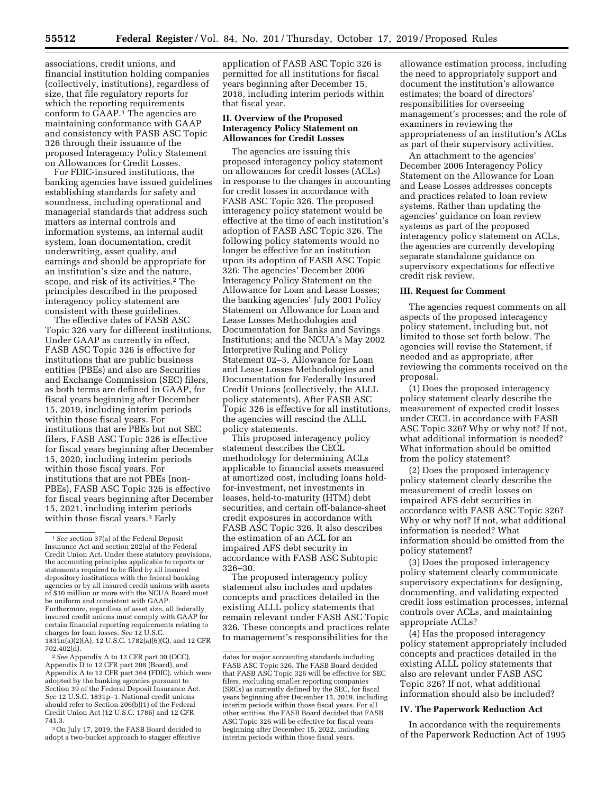associations, credit unions, and financial institution holding companies (collectively, institutions), regardless of size, that file regulatory reports for which the reporting requirements conform to GAAP.1 The agencies are maintaining conformance with GAAP and consistency with FASB ASC Topic 326 through their issuance of the proposed Interagency Policy Statement on Allowances for Credit Losses.

For FDIC-insured institutions, the banking agencies have issued guidelines establishing standards for safety and soundness, including operational and managerial standards that address such matters as internal controls and information systems, an internal audit system, loan documentation, credit underwriting, asset quality, and earnings and should be appropriate for an institution's size and the nature, scope, and risk of its activities.2 The principles described in the proposed interagency policy statement are consistent with these guidelines.

The effective dates of FASB ASC Topic 326 vary for different institutions. Under GAAP as currently in effect, FASB ASC Topic 326 is effective for institutions that are public business entities (PBEs) and also are Securities and Exchange Commission (SEC) filers, as both terms are defined in GAAP, for fiscal years beginning after December 15, 2019, including interim periods within those fiscal years. For institutions that are PBEs but not SEC filers, FASB ASC Topic 326 is effective for fiscal years beginning after December 15, 2020, including interim periods within those fiscal years. For institutions that are not PBEs (non-PBEs), FASB ASC Topic 326 is effective for fiscal years beginning after December 15, 2021, including interim periods within those fiscal years.<sup>3</sup> Early

2*See* Appendix A to 12 CFR part 30 (OCC), Appendix D to 12 CFR part 208 (Board), and Appendix A to 12 CFR part 364 (FDIC), which were adopted by the banking agencies pursuant to Section 39 of the Federal Deposit Insurance Act. *See* 12 U.S.C. 1831p–1. National credit unions should refer to Section 206(b)(1) of the Federal Credit Union Act (12 U.S.C. 1786) and 12 CFR 741.3.

3On July 17, 2019, the FASB Board decided to adopt a two-bucket approach to stagger effective

application of FASB ASC Topic 326 is permitted for all institutions for fiscal years beginning after December 15, 2018, including interim periods within that fiscal year.

## **II. Overview of the Proposed Interagency Policy Statement on Allowances for Credit Losses**

The agencies are issuing this proposed interagency policy statement on allowances for credit losses (ACLs) in response to the changes in accounting for credit losses in accordance with FASB ASC Topic 326. The proposed interagency policy statement would be effective at the time of each institution's adoption of FASB ASC Topic 326. The following policy statements would no longer be effective for an institution upon its adoption of FASB ASC Topic 326: The agencies' December 2006 Interagency Policy Statement on the Allowance for Loan and Lease Losses; the banking agencies' July 2001 Policy Statement on Allowance for Loan and Lease Losses Methodologies and Documentation for Banks and Savings Institutions; and the NCUA's May 2002 Interpretive Ruling and Policy Statement 02–3, Allowance for Loan and Lease Losses Methodologies and Documentation for Federally Insured Credit Unions (collectively, the ALLL policy statements). After FASB ASC Topic 326 is effective for all institutions, the agencies will rescind the ALLL policy statements.

This proposed interagency policy statement describes the CECL methodology for determining ACLs applicable to financial assets measured at amortized cost, including loans heldfor-investment, net investments in leases, held-to-maturity (HTM) debt securities, and certain off-balance-sheet credit exposures in accordance with FASB ASC Topic 326. It also describes the estimation of an ACL for an impaired AFS debt security in accordance with FASB ASC Subtopic 326–30.

The proposed interagency policy statement also includes and updates concepts and practices detailed in the existing ALLL policy statements that remain relevant under FASB ASC Topic 326. These concepts and practices relate to management's responsibilities for the

allowance estimation process, including the need to appropriately support and document the institution's allowance estimates; the board of directors' responsibilities for overseeing management's processes; and the role of examiners in reviewing the appropriateness of an institution's ACLs as part of their supervisory activities.

An attachment to the agencies' December 2006 Interagency Policy Statement on the Allowance for Loan and Lease Losses addresses concepts and practices related to loan review systems. Rather than updating the agencies' guidance on loan review systems as part of the proposed interagency policy statement on ACLs, the agencies are currently developing separate standalone guidance on supervisory expectations for effective credit risk review.

#### **III. Request for Comment**

The agencies request comments on all aspects of the proposed interagency policy statement, including but, not limited to those set forth below. The agencies will revise the Statement, if needed and as appropriate, after reviewing the comments received on the proposal.

(1) Does the proposed interagency policy statement clearly describe the measurement of expected credit losses under CECL in accordance with FASB ASC Topic 326? Why or why not? If not, what additional information is needed? What information should be omitted from the policy statement?

(2) Does the proposed interagency policy statement clearly describe the measurement of credit losses on impaired AFS debt securities in accordance with FASB ASC Topic 326? Why or why not? If not, what additional information is needed? What information should be omitted from the policy statement?

(3) Does the proposed interagency policy statement clearly communicate supervisory expectations for designing, documenting, and validating expected credit loss estimation processes, internal controls over ACLs, and maintaining appropriate ACLs?

(4) Has the proposed interagency policy statement appropriately included concepts and practices detailed in the existing ALLL policy statements that also are relevant under FASB ASC Topic 326? If not, what additional information should also be included?

# **IV. The Paperwork Reduction Act**

In accordance with the requirements of the Paperwork Reduction Act of 1995

<sup>1</sup>*See* section 37(a) of the Federal Deposit Insurance Act and section 202(a) of the Federal Credit Union Act. Under these statutory provisions, the accounting principles applicable to reports or statements required to be filed by all insured depository institutions with the federal banking agencies or by all insured credit unions with assets of \$10 million or more with the NCUA Board must be uniform and consistent with GAAP. Furthermore, regardless of asset size, all federally insured credit unions must comply with GAAP for certain financial reporting requirements relating to charges for loan losses. *See* 12 U.S.C. 1831n(a)(2)(A), 12 U.S.C. 1782(a)(6)(C), and 12 CFR 702.402(d).

dates for major accounting standards including FASB ASC Topic 326. The FASB Board decided that FASB ASC Topic 326 will be effective for SEC filers, excluding smaller reporting companies (SRCs) as currently defined by the SEC, for fiscal years beginning after December 15, 2019, including interim periods within those fiscal years. For all other entities, the FASB Board decided that FASB ASC Topic 326 will be effective for fiscal years beginning after December 15, 2022, including interim periods within those fiscal years.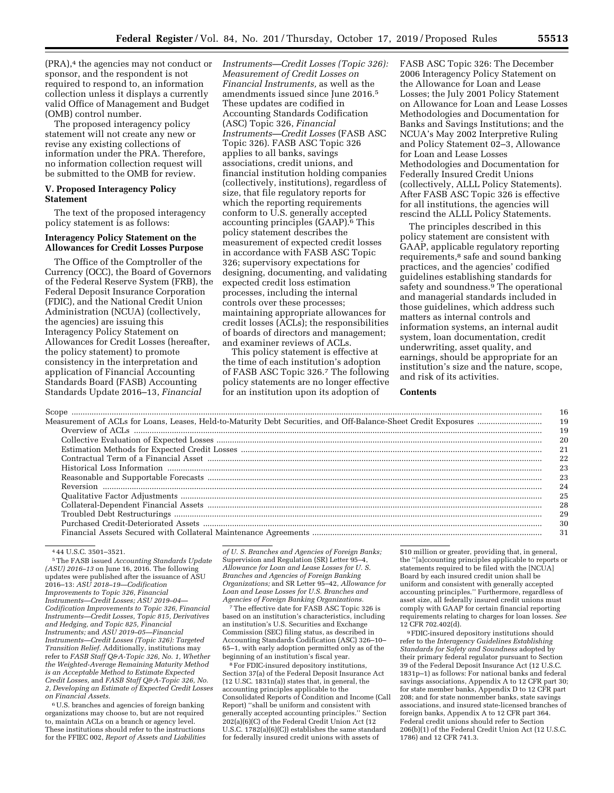(PRA),<sup>4</sup> the agencies may not conduct or sponsor, and the respondent is not required to respond to, an information collection unless it displays a currently valid Office of Management and Budget (OMB) control number.

The proposed interagency policy statement will not create any new or revise any existing collections of information under the PRA. Therefore, no information collection request will be submitted to the OMB for review.

#### **V. Proposed Interagency Policy Statement**

The text of the proposed interagency policy statement is as follows:

#### **Interagency Policy Statement on the Allowances for Credit Losses Purpose**

The Office of the Comptroller of the Currency (OCC), the Board of Governors of the Federal Reserve System (FRB), the Federal Deposit Insurance Corporation (FDIC), and the National Credit Union Administration (NCUA) (collectively, the agencies) are issuing this Interagency Policy Statement on Allowances for Credit Losses (hereafter, the policy statement) to promote consistency in the interpretation and application of Financial Accounting Standards Board (FASB) Accounting Standards Update 2016–13, *Financial* 

*Instruments—Credit Losses (Topic 326): Measurement of Credit Losses on Financial Instruments,* as well as the amendments issued since June 2016.5 These updates are codified in Accounting Standards Codification (ASC) Topic 326, *Financial Instruments—Credit Losses* (FASB ASC Topic 326). FASB ASC Topic 326 applies to all banks, savings associations, credit unions, and financial institution holding companies (collectively, institutions), regardless of size, that file regulatory reports for which the reporting requirements conform to U.S. generally accepted accounting principles (GAAP).6 This policy statement describes the measurement of expected credit losses in accordance with FASB ASC Topic 326; supervisory expectations for designing, documenting, and validating expected credit loss estimation processes, including the internal controls over these processes; maintaining appropriate allowances for credit losses (ACLs); the responsibilities of boards of directors and management; and examiner reviews of ACLs.

This policy statement is effective at the time of each institution's adoption of FASB ASC Topic 326.7 The following policy statements are no longer effective for an institution upon its adoption of

FASB ASC Topic 326: The December 2006 Interagency Policy Statement on the Allowance for Loan and Lease Losses; the July 2001 Policy Statement on Allowance for Loan and Lease Losses Methodologies and Documentation for Banks and Savings Institutions; and the NCUA's May 2002 Interpretive Ruling and Policy Statement 02–3, Allowance for Loan and Lease Losses Methodologies and Documentation for Federally Insured Credit Unions (collectively, ALLL Policy Statements). After FASB ASC Topic 326 is effective for all institutions, the agencies will rescind the ALLL Policy Statements.

The principles described in this policy statement are consistent with GAAP, applicable regulatory reporting requirements,<sup>8</sup> safe and sound banking practices, and the agencies' codified guidelines establishing standards for safety and soundness.9 The operational and managerial standards included in those guidelines, which address such matters as internal controls and information systems, an internal audit system, loan documentation, credit underwriting, asset quality, and earnings, should be appropriate for an institution's size and the nature, scope, and risk of its activities.

#### **Contents**

|                                                                                                                                                                                                                                                                                                                                                                                                                                                                                                                                                                                                            | 16  |
|------------------------------------------------------------------------------------------------------------------------------------------------------------------------------------------------------------------------------------------------------------------------------------------------------------------------------------------------------------------------------------------------------------------------------------------------------------------------------------------------------------------------------------------------------------------------------------------------------------|-----|
|                                                                                                                                                                                                                                                                                                                                                                                                                                                                                                                                                                                                            | 19  |
|                                                                                                                                                                                                                                                                                                                                                                                                                                                                                                                                                                                                            | 19  |
|                                                                                                                                                                                                                                                                                                                                                                                                                                                                                                                                                                                                            | 20  |
|                                                                                                                                                                                                                                                                                                                                                                                                                                                                                                                                                                                                            | 21  |
|                                                                                                                                                                                                                                                                                                                                                                                                                                                                                                                                                                                                            | 22  |
|                                                                                                                                                                                                                                                                                                                                                                                                                                                                                                                                                                                                            | 23  |
|                                                                                                                                                                                                                                                                                                                                                                                                                                                                                                                                                                                                            | 23  |
|                                                                                                                                                                                                                                                                                                                                                                                                                                                                                                                                                                                                            | 24  |
|                                                                                                                                                                                                                                                                                                                                                                                                                                                                                                                                                                                                            | 25  |
| $\label{lem:1} \textbf{Qualitative Factor Adjustments} \begin{minipage}{0.9\linewidth} \textbf{Qualitative Factor Adjustments} \end{minipage} \vspace{0.03cm} \begin{minipage}{0.9\linewidth} \textbf{Qualateral-Dependent Financial Assets} \end{minipage} \vspace{0.03cm} \begin{minipage}{0.9\linewidth} \textbf{Qualateral-Dependent Financial Assets} \end{minipage} \vspace{0.03cm} \begin{minipage}{0.9\linewidth} \textbf{Qualateral-Dependent Financial Assets} \end{minipage} \vspace{0.03cm} \begin{minipage}{0.9\linewidth} \textbf{Qualateral-Dependent Financial Assessment} \end{minipage}$ | 28  |
|                                                                                                                                                                                                                                                                                                                                                                                                                                                                                                                                                                                                            | 29  |
|                                                                                                                                                                                                                                                                                                                                                                                                                                                                                                                                                                                                            | 30  |
|                                                                                                                                                                                                                                                                                                                                                                                                                                                                                                                                                                                                            | -31 |

4 44 U.S.C. 3501–3521.

5The FASB issued *Accounting Standards Update (ASU) 2016–13* on June 16, 2016. The following updates were published after the issuance of ASU 2016–13: *ASU 2018–19—Codification Improvements to Topic 326, Financial Instruments—Credit Losses; ASU 2019–04— Codification Improvements to Topic 326, Financial Instruments—Credit Losses, Topic 815, Derivatives and Hedging, and Topic 825, Financial Instruments;* and *ASU 2019–05—Financial Instruments—Credit Losses (Topic 326): Targeted Transition Relief.* Additionally, institutions may refer to *FASB Staff Q&A-Topic 326, No. 1, Whether the Weighted-Average Remaining Maturity Method is an Acceptable Method to Estimate Expected Credit Losses,* and *FASB Staff Q&A-Topic 326, No. 2, Developing an Estimate of Expected Credit Losses on Financial Assets.* 

6U.S. branches and agencies of foreign banking organizations may choose to, but are not required to, maintain ACLs on a branch or agency level. These institutions should refer to the instructions for the FFIEC 002, *Report of Assets and Liabilities*  *of U. S. Branches and Agencies of Foreign Banks;*  Supervision and Regulation (SR) Letter 95–4, *Allowance for Loan and Lease Losses for U. S. Branches and Agencies of Foreign Banking Organizations;* and SR Letter 95–42, *Allowance for Loan and Lease Losses for U.S. Branches and Agencies of Foreign Banking Organizations.* 

7The effective date for FASB ASC Topic 326 is based on an institution's characteristics, including an institution's U.S. Securities and Exchange Commission (SEC) filing status, as described in Accounting Standards Codification (ASC) 326–10– 65–1, with early adoption permitted only as of the beginning of an institution's fiscal year.

8For FDIC-insured depository institutions, Section 37(a) of the Federal Deposit Insurance Act (12 U.SC. 1831n(a)) states that, in general, the accounting principles applicable to the Consolidated Reports of Condition and Income (Call Report) ''shall be uniform and consistent with generally accepted accounting principles.'' Section 202(a)(6)(C) of the Federal Credit Union Act (12 U.S.C. 1782(a)(6)(C)) establishes the same standard for federally insured credit unions with assets of

\$10 million or greater, providing that, in general, the ''[a]ccounting principles applicable to reports or statements required to be filed with the [NCUA] Board by each insured credit union shall be uniform and consistent with generally accepted accounting principles.'' Furthermore, regardless of asset size, all federally insured credit unions must comply with GAAP for certain financial reporting requirements relating to charges for loan losses. *See*  12 CFR 702.402(d).

9FDIC-insured depository institutions should refer to the *Interagency Guidelines Establishing Standards for Safety and Soundness* adopted by their primary federal regulator pursuant to Section 39 of the Federal Deposit Insurance Act (12 U.S.C. 1831p–1) as follows: For national banks and federal savings associations, Appendix A to 12 CFR part 30; for state member banks, Appendix D to 12 CFR part 208; and for state nonmember banks, state savings associations, and insured state-licensed branches of foreign banks, Appendix A to 12 CFR part 364. Federal credit unions should refer to Section 206(b)(1) of the Federal Credit Union Act (12 U.S.C. 1786) and 12 CFR 741.3.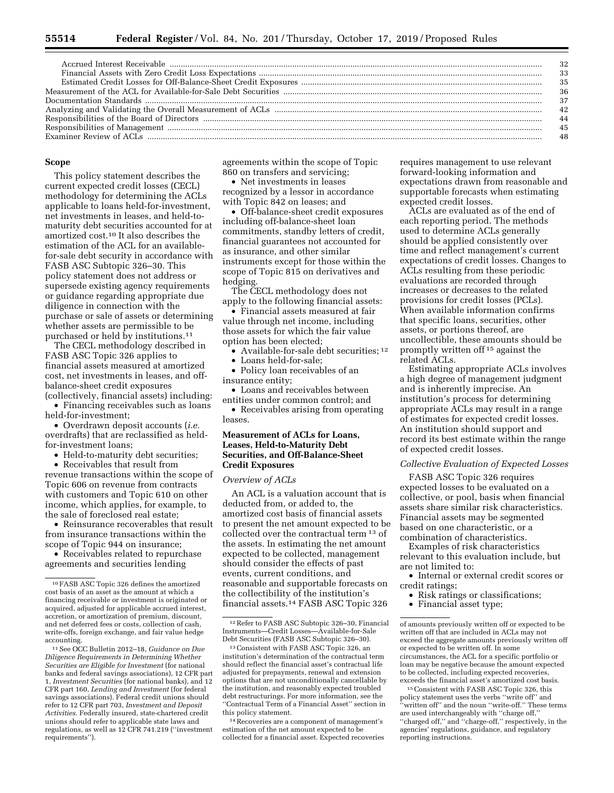|                                                                                                                                                                                                                               | -36 |
|-------------------------------------------------------------------------------------------------------------------------------------------------------------------------------------------------------------------------------|-----|
|                                                                                                                                                                                                                               |     |
|                                                                                                                                                                                                                               | 42  |
| Responsibilities of the Board of Directors (1990) and the context of Directors (1990) and the Board of Directors (1990) and the state of the Board of Directors (1990) and the context of the state of the South of Directors |     |
|                                                                                                                                                                                                                               |     |
|                                                                                                                                                                                                                               |     |

#### **Scope**

This policy statement describes the current expected credit losses (CECL) methodology for determining the ACLs applicable to loans held-for-investment, net investments in leases, and held-tomaturity debt securities accounted for at amortized cost.10 It also describes the estimation of the ACL for an availablefor-sale debt security in accordance with FASB ASC Subtopic 326–30. This policy statement does not address or supersede existing agency requirements or guidance regarding appropriate due diligence in connection with the purchase or sale of assets or determining whether assets are permissible to be purchased or held by institutions.<sup>11</sup>

The CECL methodology described in FASB ASC Topic 326 applies to financial assets measured at amortized cost, net investments in leases, and offbalance-sheet credit exposures (collectively, financial assets) including:

• Financing receivables such as loans held-for-investment;

• Overdrawn deposit accounts (*i.e.*  overdrafts) that are reclassified as heldfor-investment loans;

• Held-to-maturity debt securities;

• Receivables that result from revenue transactions within the scope of Topic 606 on revenue from contracts with customers and Topic 610 on other income, which applies, for example, to the sale of foreclosed real estate;

• Reinsurance recoverables that result from insurance transactions within the scope of Topic 944 on insurance;

• Receivables related to repurchase agreements and securities lending

11See OCC Bulletin 2012–18, *Guidance on Due Diligence Requirements in Determining Whether Securities are Eligible for Investment* (for national banks and federal savings associations), 12 CFR part 1, *Investment Securities* (for national banks), and 12 CFR part 160, *Lending and Investment* (for federal savings associations). Federal credit unions should refer to 12 CFR part 703, *Investment and Deposit Activities.* Federally insured, state-chartered credit unions should refer to applicable state laws and regulations, as well as 12 CFR 741.219 (''investment requirements'').

agreements within the scope of Topic 860 on transfers and servicing;

• Net investments in leases recognized by a lessor in accordance with Topic 842 on leases; and

• Off-balance-sheet credit exposures including off-balance-sheet loan commitments, standby letters of credit, financial guarantees not accounted for as insurance, and other similar instruments except for those within the scope of Topic 815 on derivatives and hedging.

The CECL methodology does not apply to the following financial assets:

• Financial assets measured at fair value through net income, including those assets for which the fair value option has been elected;

• Available-for-sale debt securities; 12

• Loans held-for-sale;

• Policy loan receivables of an insurance entity;

• Loans and receivables between entities under common control; and

• Receivables arising from operating leases.

# **Measurement of ACLs for Loans, Leases, Held-to-Maturity Debt Securities, and Off-Balance-Sheet Credit Exposures**

#### *Overview of ACLs*

An ACL is a valuation account that is deducted from, or added to, the amortized cost basis of financial assets to present the net amount expected to be collected over the contractual term 13 of the assets. In estimating the net amount expected to be collected, management should consider the effects of past events, current conditions, and reasonable and supportable forecasts on the collectibility of the institution's financial assets.14 FASB ASC Topic 326

14Recoveries are a component of management's estimation of the net amount expected to be collected for a financial asset. Expected recoveries requires management to use relevant forward-looking information and expectations drawn from reasonable and supportable forecasts when estimating expected credit losses.

ACLs are evaluated as of the end of each reporting period. The methods used to determine ACLs generally should be applied consistently over time and reflect management's current expectations of credit losses. Changes to ACLs resulting from these periodic evaluations are recorded through increases or decreases to the related provisions for credit losses (PCLs). When available information confirms that specific loans, securities, other assets, or portions thereof, are uncollectible, these amounts should be promptly written off 15 against the related ACLs.

Estimating appropriate ACLs involves a high degree of management judgment and is inherently imprecise. An institution's process for determining appropriate ACLs may result in a range of estimates for expected credit losses. An institution should support and record its best estimate within the range of expected credit losses.

#### *Collective Evaluation of Expected Losses*

FASB ASC Topic 326 requires expected losses to be evaluated on a collective, or pool, basis when financial assets share similar risk characteristics. Financial assets may be segmented based on one characteristic, or a combination of characteristics.

Examples of risk characteristics relevant to this evaluation include, but are not limited to:

- Internal or external credit scores or credit ratings;
	- Risk ratings or classifications;

• Financial asset type;

<sup>10</sup>FASB ASC Topic 326 defines the amortized cost basis of an asset as the amount at which a financing receivable or investment is originated or acquired, adjusted for applicable accrued interest, accretion, or amortization of premium, discount, and net deferred fees or costs, collection of cash, write-offs, foreign exchange, and fair value hedge accounting.

<sup>12</sup>Refer to FASB ASC Subtopic 326–30, Financial Instruments—Credit Losses—Available-for-Sale Debt Securities (FASB ASC Subtopic 326–30).

<sup>13</sup>Consistent with FASB ASC Topic 326, an institution's determination of the contractual term should reflect the financial asset's contractual life adjusted for prepayments, renewal and extension options that are not unconditionally cancellable by the institution, and reasonably expected troubled debt restructurings. For more information, see the ''Contractual Term of a Financial Asset'' section in this policy statement.

of amounts previously written off or expected to be written off that are included in ACLs may not exceed the aggregate amounts previously written off or expected to be written off. In some circumstances, the ACL for a specific portfolio or loan may be negative because the amount expected to be collected, including expected recoveries, exceeds the financial asset's amortized cost basis.

<sup>15</sup>Consistent with FASB ASC Topic 326, this policy statement uses the verbs ''write off'' and ''written off'' and the noun ''write-off.'' These terms are used interchangeably with ''charge off,'' "charged off," and "charge-off," respectively, in the agencies' regulations, guidance, and regulatory reporting instructions.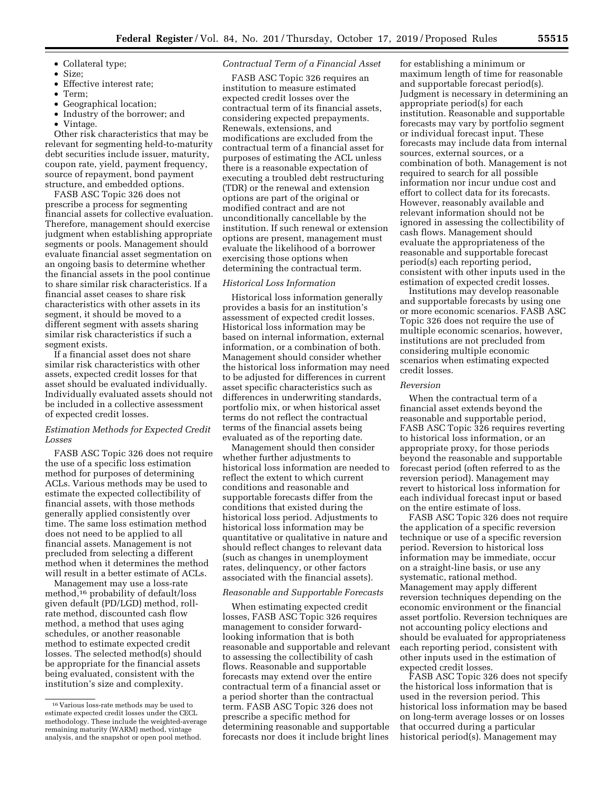- Collateral type;
- Size;
- Effective interest rate;
- Term;
- Geographical location;
- Industry of the borrower; and
- Vintage.

Other risk characteristics that may be relevant for segmenting held-to-maturity debt securities include issuer, maturity, coupon rate, yield, payment frequency, source of repayment, bond payment structure, and embedded options.

FASB ASC Topic 326 does not prescribe a process for segmenting financial assets for collective evaluation. Therefore, management should exercise judgment when establishing appropriate segments or pools. Management should evaluate financial asset segmentation on an ongoing basis to determine whether the financial assets in the pool continue to share similar risk characteristics. If a financial asset ceases to share risk characteristics with other assets in its segment, it should be moved to a different segment with assets sharing similar risk characteristics if such a segment exists.

If a financial asset does not share similar risk characteristics with other assets, expected credit losses for that asset should be evaluated individually. Individually evaluated assets should not be included in a collective assessment of expected credit losses.

# *Estimation Methods for Expected Credit Losses*

FASB ASC Topic 326 does not require the use of a specific loss estimation method for purposes of determining ACLs. Various methods may be used to estimate the expected collectibility of financial assets, with those methods generally applied consistently over time. The same loss estimation method does not need to be applied to all financial assets. Management is not precluded from selecting a different method when it determines the method will result in a better estimate of ACLs.

Management may use a loss-rate method,16 probability of default/loss given default (PD/LGD) method, rollrate method, discounted cash flow method, a method that uses aging schedules, or another reasonable method to estimate expected credit losses. The selected method(s) should be appropriate for the financial assets being evaluated, consistent with the institution's size and complexity.

## *Contractual Term of a Financial Asset*

FASB ASC Topic 326 requires an institution to measure estimated expected credit losses over the contractual term of its financial assets, considering expected prepayments. Renewals, extensions, and modifications are excluded from the contractual term of a financial asset for purposes of estimating the ACL unless there is a reasonable expectation of executing a troubled debt restructuring (TDR) or the renewal and extension options are part of the original or modified contract and are not unconditionally cancellable by the institution. If such renewal or extension options are present, management must evaluate the likelihood of a borrower exercising those options when determining the contractual term.

## *Historical Loss Information*

Historical loss information generally provides a basis for an institution's assessment of expected credit losses. Historical loss information may be based on internal information, external information, or a combination of both. Management should consider whether the historical loss information may need to be adjusted for differences in current asset specific characteristics such as differences in underwriting standards, portfolio mix, or when historical asset terms do not reflect the contractual terms of the financial assets being evaluated as of the reporting date.

Management should then consider whether further adjustments to historical loss information are needed to reflect the extent to which current conditions and reasonable and supportable forecasts differ from the conditions that existed during the historical loss period. Adjustments to historical loss information may be quantitative or qualitative in nature and should reflect changes to relevant data (such as changes in unemployment rates, delinquency, or other factors associated with the financial assets).

## *Reasonable and Supportable Forecasts*

When estimating expected credit losses, FASB ASC Topic 326 requires management to consider forwardlooking information that is both reasonable and supportable and relevant to assessing the collectibility of cash flows. Reasonable and supportable forecasts may extend over the entire contractual term of a financial asset or a period shorter than the contractual term. FASB ASC Topic 326 does not prescribe a specific method for determining reasonable and supportable forecasts nor does it include bright lines

for establishing a minimum or maximum length of time for reasonable and supportable forecast period(s). Judgment is necessary in determining an appropriate period(s) for each institution. Reasonable and supportable forecasts may vary by portfolio segment or individual forecast input. These forecasts may include data from internal sources, external sources, or a combination of both. Management is not required to search for all possible information nor incur undue cost and effort to collect data for its forecasts. However, reasonably available and relevant information should not be ignored in assessing the collectibility of cash flows. Management should evaluate the appropriateness of the reasonable and supportable forecast period(s) each reporting period, consistent with other inputs used in the estimation of expected credit losses.

Institutions may develop reasonable and supportable forecasts by using one or more economic scenarios. FASB ASC Topic 326 does not require the use of multiple economic scenarios, however, institutions are not precluded from considering multiple economic scenarios when estimating expected credit losses.

#### *Reversion*

When the contractual term of a financial asset extends beyond the reasonable and supportable period, FASB ASC Topic 326 requires reverting to historical loss information, or an appropriate proxy, for those periods beyond the reasonable and supportable forecast period (often referred to as the reversion period). Management may revert to historical loss information for each individual forecast input or based on the entire estimate of loss.

FASB ASC Topic 326 does not require the application of a specific reversion technique or use of a specific reversion period. Reversion to historical loss information may be immediate, occur on a straight-line basis, or use any systematic, rational method. Management may apply different reversion techniques depending on the economic environment or the financial asset portfolio. Reversion techniques are not accounting policy elections and should be evaluated for appropriateness each reporting period, consistent with other inputs used in the estimation of expected credit losses.

FASB ASC Topic 326 does not specify the historical loss information that is used in the reversion period. This historical loss information may be based on long-term average losses or on losses that occurred during a particular historical period(s). Management may

<sup>16</sup> Various loss-rate methods may be used to estimate expected credit losses under the CECL methodology. These include the weighted-average remaining maturity (WARM) method, vintage analysis, and the snapshot or open pool method.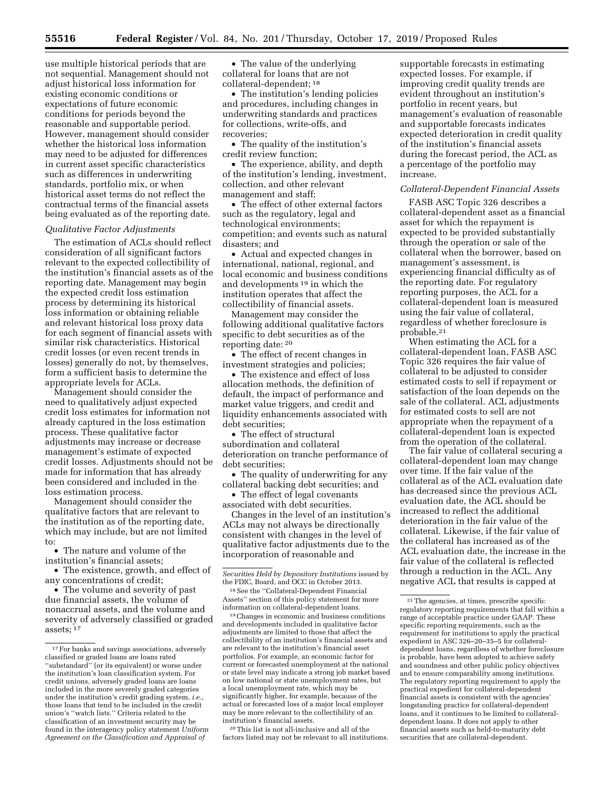use multiple historical periods that are not sequential. Management should not adjust historical loss information for existing economic conditions or expectations of future economic conditions for periods beyond the reasonable and supportable period. However, management should consider whether the historical loss information may need to be adjusted for differences in current asset specific characteristics such as differences in underwriting standards, portfolio mix, or when historical asset terms do not reflect the contractual terms of the financial assets being evaluated as of the reporting date.

## *Qualitative Factor Adjustments*

The estimation of ACLs should reflect consideration of all significant factors relevant to the expected collectibility of the institution's financial assets as of the reporting date. Management may begin the expected credit loss estimation process by determining its historical loss information or obtaining reliable and relevant historical loss proxy data for each segment of financial assets with similar risk characteristics. Historical credit losses (or even recent trends in losses) generally do not, by themselves, form a sufficient basis to determine the appropriate levels for ACLs.

Management should consider the need to qualitatively adjust expected credit loss estimates for information not already captured in the loss estimation process. These qualitative factor adjustments may increase or decrease management's estimate of expected credit losses. Adjustments should not be made for information that has already been considered and included in the loss estimation process.

Management should consider the qualitative factors that are relevant to the institution as of the reporting date, which may include, but are not limited to:

• The nature and volume of the institution's financial assets;

• The existence, growth, and effect of any concentrations of credit;

• The volume and severity of past due financial assets, the volume of nonaccrual assets, and the volume and severity of adversely classified or graded assets; 17

• The value of the underlying collateral for loans that are not collateral-dependent; 18

• The institution's lending policies and procedures, including changes in underwriting standards and practices for collections, write-offs, and recoveries;

• The quality of the institution's credit review function;

• The experience, ability, and depth of the institution's lending, investment, collection, and other relevant management and staff;

• The effect of other external factors such as the regulatory, legal and technological environments; competition; and events such as natural disasters; and

• Actual and expected changes in international, national, regional, and local economic and business conditions and developments 19 in which the institution operates that affect the collectibility of financial assets.

Management may consider the following additional qualitative factors specific to debt securities as of the reporting date: 20

• The effect of recent changes in investment strategies and policies;

• The existence and effect of loss allocation methods, the definition of default, the impact of performance and market value triggers, and credit and liquidity enhancements associated with debt securities;

• The effect of structural subordination and collateral deterioration on tranche performance of debt securities;

• The quality of underwriting for any collateral backing debt securities; and

• The effect of legal covenants associated with debt securities.

Changes in the level of an institution's ACLs may not always be directionally consistent with changes in the level of qualitative factor adjustments due to the incorporation of reasonable and

19Changes in economic and business conditions and developments included in qualitative factor adjustments are limited to those that affect the collectibility of an institution's financial assets and are relevant to the institution's financial asset portfolios. For example, an economic factor for current or forecasted unemployment at the national or state level may indicate a strong job market based on low national or state unemployment rates, but a local unemployment rate, which may be significantly higher, for example, because of the actual or forecasted loss of a major local employer may be more relevant to the collectibility of an institution's financial assets.

20This list is not all-inclusive and all of the factors listed may not be relevant to all institutions. supportable forecasts in estimating expected losses. For example, if improving credit quality trends are evident throughout an institution's portfolio in recent years, but management's evaluation of reasonable and supportable forecasts indicates expected deterioration in credit quality of the institution's financial assets during the forecast period, the ACL as a percentage of the portfolio may increase.

#### *Collateral-Dependent Financial Assets*

FASB ASC Topic 326 describes a collateral-dependent asset as a financial asset for which the repayment is expected to be provided substantially through the operation or sale of the collateral when the borrower, based on management's assessment, is experiencing financial difficulty as of the reporting date. For regulatory reporting purposes, the ACL for a collateral-dependent loan is measured using the fair value of collateral, regardless of whether foreclosure is probable.21

When estimating the ACL for a collateral-dependent loan, FASB ASC Topic 326 requires the fair value of collateral to be adjusted to consider estimated costs to sell if repayment or satisfaction of the loan depends on the sale of the collateral. ACL adjustments for estimated costs to sell are not appropriate when the repayment of a collateral-dependent loan is expected from the operation of the collateral.

The fair value of collateral securing a collateral-dependent loan may change over time. If the fair value of the collateral as of the ACL evaluation date has decreased since the previous ACL evaluation date, the ACL should be increased to reflect the additional deterioration in the fair value of the collateral. Likewise, if the fair value of the collateral has increased as of the ACL evaluation date, the increase in the fair value of the collateral is reflected through a reduction in the ACL. Any negative ACL that results is capped at

 $^{\rm 17}$  For banks and savings associations, adversely classified or graded loans are loans rated ''substandard'' (or its equivalent) or worse under the institution's loan classification system. For credit unions, adversely graded loans are loans included in the more severely graded categories under the institution's credit grading system, *i.e.,*  those loans that tend to be included in the credit union's ''watch lists.'' Criteria related to the classification of an investment security may be found in the interagency policy statement *Uniform Agreement on the Classification and Appraisal of* 

*Securities Held by Depository Institutions* issued by the FDIC, Board, and OCC in October 2013.

<sup>18</sup>See the ''Collateral-Dependent Financial Assets'' section of this policy statement for more information on collateral-dependent loans.

<sup>21</sup>The agencies, at times, prescribe specific regulatory reporting requirements that fall within a range of acceptable practice under GAAP. These specific reporting requirements, such as the requirement for institutions to apply the practical expedient in ASC 326–20–35–5 for collateraldependent loans, regardless of whether foreclosure is probable, have been adopted to achieve safety and soundness and other public policy objectives and to ensure comparability among institutions. The regulatory reporting requirement to apply the practical expedient for collateral-dependent financial assets is consistent with the agencies longstanding practice for collateral-dependent loans, and it continues to be limited to collateraldependent loans. It does not apply to other financial assets such as held-to-maturity debt securities that are collateral-dependent.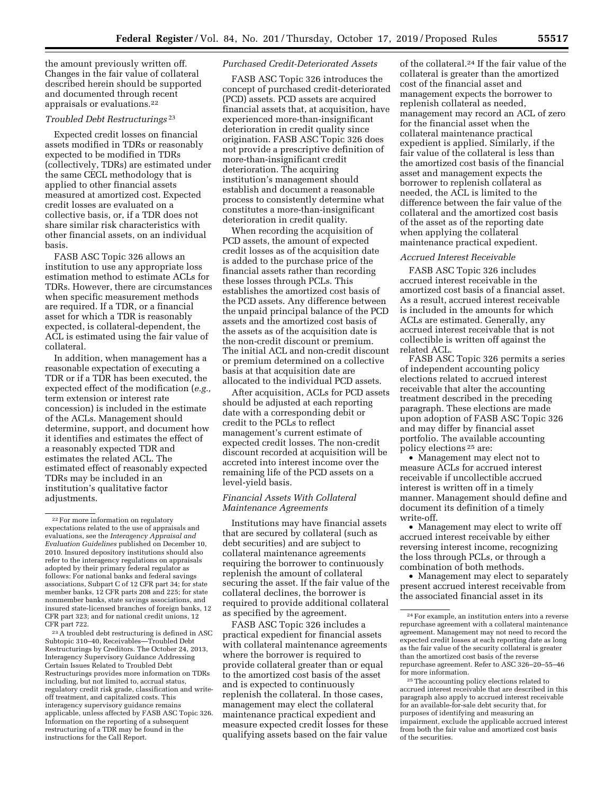the amount previously written off. Changes in the fair value of collateral described herein should be supported and documented through recent appraisals or evaluations.22

#### *Troubled Debt Restructurings* 23

Expected credit losses on financial assets modified in TDRs or reasonably expected to be modified in TDRs (collectively, TDRs) are estimated under the same CECL methodology that is applied to other financial assets measured at amortized cost. Expected credit losses are evaluated on a collective basis, or, if a TDR does not share similar risk characteristics with other financial assets, on an individual basis.

FASB ASC Topic 326 allows an institution to use any appropriate loss estimation method to estimate ACLs for TDRs. However, there are circumstances when specific measurement methods are required. If a TDR, or a financial asset for which a TDR is reasonably expected, is collateral-dependent, the ACL is estimated using the fair value of collateral.

In addition, when management has a reasonable expectation of executing a TDR or if a TDR has been executed, the expected effect of the modification (*e.g.,*  term extension or interest rate concession) is included in the estimate of the ACLs. Management should determine, support, and document how it identifies and estimates the effect of a reasonably expected TDR and estimates the related ACL. The estimated effect of reasonably expected TDRs may be included in an institution's qualitative factor adjustments.

23A troubled debt restructuring is defined in ASC Subtopic 310–40, Receivables—Troubled Debt Restructurings by Creditors. The October 24, 2013, Interagency Supervisory Guidance Addressing Certain Issues Related to Troubled Debt Restructurings provides more information on TDRs including, but not limited to, accrual status, regulatory credit risk grade, classification and writeoff treatment, and capitalized costs. This interagency supervisory guidance remains applicable, unless affected by FASB ASC Topic 326. Information on the reporting of a subsequent restructuring of a TDR may be found in the instructions for the Call Report.

# *Purchased Credit-Deteriorated Assets*

FASB ASC Topic 326 introduces the concept of purchased credit-deteriorated (PCD) assets. PCD assets are acquired financial assets that, at acquisition, have experienced more-than-insignificant deterioration in credit quality since origination. FASB ASC Topic 326 does not provide a prescriptive definition of more-than-insignificant credit deterioration. The acquiring institution's management should establish and document a reasonable process to consistently determine what constitutes a more-than-insignificant deterioration in credit quality.

When recording the acquisition of PCD assets, the amount of expected credit losses as of the acquisition date is added to the purchase price of the financial assets rather than recording these losses through PCLs. This establishes the amortized cost basis of the PCD assets. Any difference between the unpaid principal balance of the PCD assets and the amortized cost basis of the assets as of the acquisition date is the non-credit discount or premium. The initial ACL and non-credit discount or premium determined on a collective basis at that acquisition date are allocated to the individual PCD assets.

After acquisition, ACLs for PCD assets should be adjusted at each reporting date with a corresponding debit or credit to the PCLs to reflect management's current estimate of expected credit losses. The non-credit discount recorded at acquisition will be accreted into interest income over the remaining life of the PCD assets on a level-yield basis.

#### *Financial Assets With Collateral Maintenance Agreements*

Institutions may have financial assets that are secured by collateral (such as debt securities) and are subject to collateral maintenance agreements requiring the borrower to continuously replenish the amount of collateral securing the asset. If the fair value of the collateral declines, the borrower is required to provide additional collateral as specified by the agreement.

FASB ASC Topic 326 includes a practical expedient for financial assets with collateral maintenance agreements where the borrower is required to provide collateral greater than or equal to the amortized cost basis of the asset and is expected to continuously replenish the collateral. In those cases, management may elect the collateral maintenance practical expedient and measure expected credit losses for these qualifying assets based on the fair value

of the collateral.24 If the fair value of the collateral is greater than the amortized cost of the financial asset and management expects the borrower to replenish collateral as needed, management may record an ACL of zero for the financial asset when the collateral maintenance practical expedient is applied. Similarly, if the fair value of the collateral is less than the amortized cost basis of the financial asset and management expects the borrower to replenish collateral as needed, the ACL is limited to the difference between the fair value of the collateral and the amortized cost basis of the asset as of the reporting date when applying the collateral maintenance practical expedient.

#### *Accrued Interest Receivable*

FASB ASC Topic 326 includes accrued interest receivable in the amortized cost basis of a financial asset. As a result, accrued interest receivable is included in the amounts for which ACLs are estimated. Generally, any accrued interest receivable that is not collectible is written off against the related ACL.

FASB ASC Topic 326 permits a series of independent accounting policy elections related to accrued interest receivable that alter the accounting treatment described in the preceding paragraph. These elections are made upon adoption of FASB ASC Topic 326 and may differ by financial asset portfolio. The available accounting policy elections 25 are:

• Management may elect not to measure ACLs for accrued interest receivable if uncollectible accrued interest is written off in a timely manner. Management should define and document its definition of a timely write-off.

• Management may elect to write off accrued interest receivable by either reversing interest income, recognizing the loss through PCLs, or through a combination of both methods.

• Management may elect to separately present accrued interest receivable from the associated financial asset in its

<sup>22</sup>For more information on regulatory expectations related to the use of appraisals and evaluations, see the *Interagency Appraisal and Evaluation Guidelines* published on December 10, 2010. Insured depository institutions should also refer to the interagency regulations on appraisals adopted by their primary federal regulator as follows: For national banks and federal savings associations, Subpart C of 12 CFR part 34; for state member banks, 12 CFR parts 208 and 225; for state nonmember banks, state savings associations, and insured state-licensed branches of foreign banks, 12 CFR part 323; and for national credit unions, 12 CFR part 722.

<sup>24</sup>For example, an institution enters into a reverse repurchase agreement with a collateral maintenance agreement. Management may not need to record the expected credit losses at each reporting date as long as the fair value of the security collateral is greater than the amortized cost basis of the reverse repurchase agreement. Refer to ASC 326–20–55–46 for more information.

<sup>25</sup>The accounting policy elections related to accrued interest receivable that are described in this paragraph also apply to accrued interest receivable for an available-for-sale debt security that, for purposes of identifying and measuring an impairment, exclude the applicable accrued interest from both the fair value and amortized cost basis of the securities.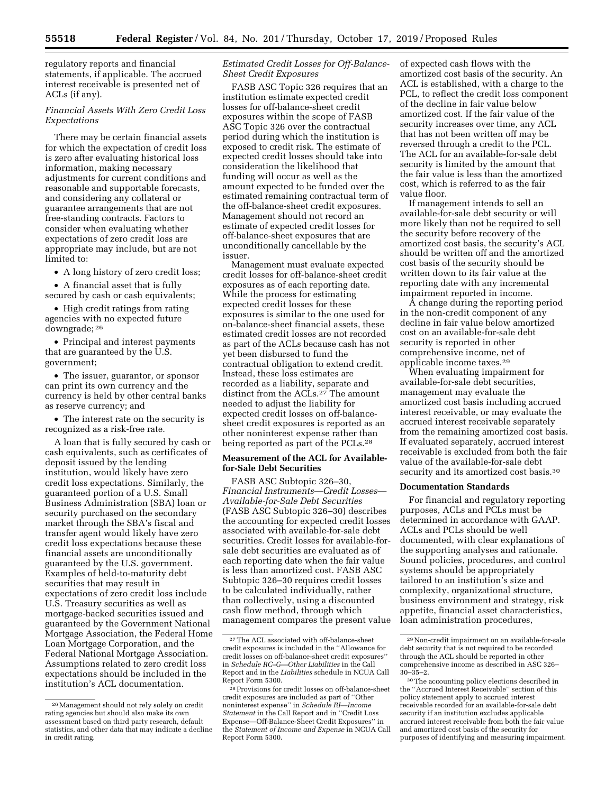regulatory reports and financial statements, if applicable. The accrued interest receivable is presented net of ACLs (if any).

## *Financial Assets With Zero Credit Loss Expectations*

There may be certain financial assets for which the expectation of credit loss is zero after evaluating historical loss information, making necessary adjustments for current conditions and reasonable and supportable forecasts, and considering any collateral or guarantee arrangements that are not free-standing contracts. Factors to consider when evaluating whether expectations of zero credit loss are appropriate may include, but are not limited to:

• A long history of zero credit loss;

• A financial asset that is fully secured by cash or cash equivalents;

• High credit ratings from rating agencies with no expected future downgrade; 26

• Principal and interest payments that are guaranteed by the U.S. government;

• The issuer, guarantor, or sponsor can print its own currency and the currency is held by other central banks as reserve currency; and

• The interest rate on the security is recognized as a risk-free rate.

A loan that is fully secured by cash or cash equivalents, such as certificates of deposit issued by the lending institution, would likely have zero credit loss expectations. Similarly, the guaranteed portion of a U.S. Small Business Administration (SBA) loan or security purchased on the secondary market through the SBA's fiscal and transfer agent would likely have zero credit loss expectations because these financial assets are unconditionally guaranteed by the U.S. government. Examples of held-to-maturity debt securities that may result in expectations of zero credit loss include U.S. Treasury securities as well as mortgage-backed securities issued and guaranteed by the Government National Mortgage Association, the Federal Home Loan Mortgage Corporation, and the Federal National Mortgage Association. Assumptions related to zero credit loss expectations should be included in the institution's ACL documentation.

## *Estimated Credit Losses for Off-Balance-Sheet Credit Exposures*

FASB ASC Topic 326 requires that an institution estimate expected credit losses for off-balance-sheet credit exposures within the scope of FASB ASC Topic 326 over the contractual period during which the institution is exposed to credit risk. The estimate of expected credit losses should take into consideration the likelihood that funding will occur as well as the amount expected to be funded over the estimated remaining contractual term of the off-balance-sheet credit exposures. Management should not record an estimate of expected credit losses for off-balance-sheet exposures that are unconditionally cancellable by the issuer.

Management must evaluate expected credit losses for off-balance-sheet credit exposures as of each reporting date. While the process for estimating expected credit losses for these exposures is similar to the one used for on-balance-sheet financial assets, these estimated credit losses are not recorded as part of the ACLs because cash has not yet been disbursed to fund the contractual obligation to extend credit. Instead, these loss estimates are recorded as a liability, separate and distinct from the ACLs.27 The amount needed to adjust the liability for expected credit losses on off-balancesheet credit exposures is reported as an other noninterest expense rather than being reported as part of the PCLs.28

# **Measurement of the ACL for Availablefor-Sale Debt Securities**

FASB ASC Subtopic 326–30, *Financial Instruments—Credit Losses— Available-for-Sale Debt Securities*  (FASB ASC Subtopic 326–30) describes the accounting for expected credit losses associated with available-for-sale debt securities. Credit losses for available-forsale debt securities are evaluated as of each reporting date when the fair value is less than amortized cost. FASB ASC Subtopic 326–30 requires credit losses to be calculated individually, rather than collectively, using a discounted cash flow method, through which management compares the present value of expected cash flows with the amortized cost basis of the security. An ACL is established, with a charge to the PCL, to reflect the credit loss component of the decline in fair value below amortized cost. If the fair value of the security increases over time, any ACL that has not been written off may be reversed through a credit to the PCL. The ACL for an available-for-sale debt security is limited by the amount that the fair value is less than the amortized cost, which is referred to as the fair value floor.

If management intends to sell an available-for-sale debt security or will more likely than not be required to sell the security before recovery of the amortized cost basis, the security's ACL should be written off and the amortized cost basis of the security should be written down to its fair value at the reporting date with any incremental impairment reported in income.

A change during the reporting period in the non-credit component of any decline in fair value below amortized cost on an available-for-sale debt security is reported in other comprehensive income, net of applicable income taxes.29

When evaluating impairment for available-for-sale debt securities, management may evaluate the amortized cost basis including accrued interest receivable, or may evaluate the accrued interest receivable separately from the remaining amortized cost basis. If evaluated separately, accrued interest receivable is excluded from both the fair value of the available-for-sale debt security and its amortized cost basis.<sup>30</sup>

#### **Documentation Standards**

For financial and regulatory reporting purposes, ACLs and PCLs must be determined in accordance with GAAP. ACLs and PCLs should be well documented, with clear explanations of the supporting analyses and rationale. Sound policies, procedures, and control systems should be appropriately tailored to an institution's size and complexity, organizational structure, business environment and strategy, risk appetite, financial asset characteristics, loan administration procedures,

<sup>26</sup>Management should not rely solely on credit rating agencies but should also make its own assessment based on third party research, default statistics, and other data that may indicate a decline in credit rating.

<sup>27</sup>The ACL associated with off-balance-sheet credit exposures is included in the ''Allowance for credit losses on off-balance-sheet credit exposures'' in *Schedule RC–G—Other Liabilities* in the Call Report and in the *Liabilities* schedule in NCUA Call Report Form 5300.

<sup>28</sup>Provisions for credit losses on off-balance-sheet credit exposures are included as part of ''Other noninterest expense'' in *Schedule RI—Income Statement* in the Call Report and in ''Credit Loss Expense—Off-Balance-Sheet Credit Exposures'' in the *Statement of Income and Expense* in NCUA Call Report Form 5300.

<sup>29</sup>Non-credit impairment on an available-for-sale debt security that is not required to be recorded through the ACL should be reported in other comprehensive income as described in ASC 326– 30–35–2.

<sup>30</sup>The accounting policy elections described in the ''Accrued Interest Receivable'' section of this policy statement apply to accrued interest receivable recorded for an available-for-sale debt security if an institution excludes applicable accrued interest receivable from both the fair value and amortized cost basis of the security for purposes of identifying and measuring impairment.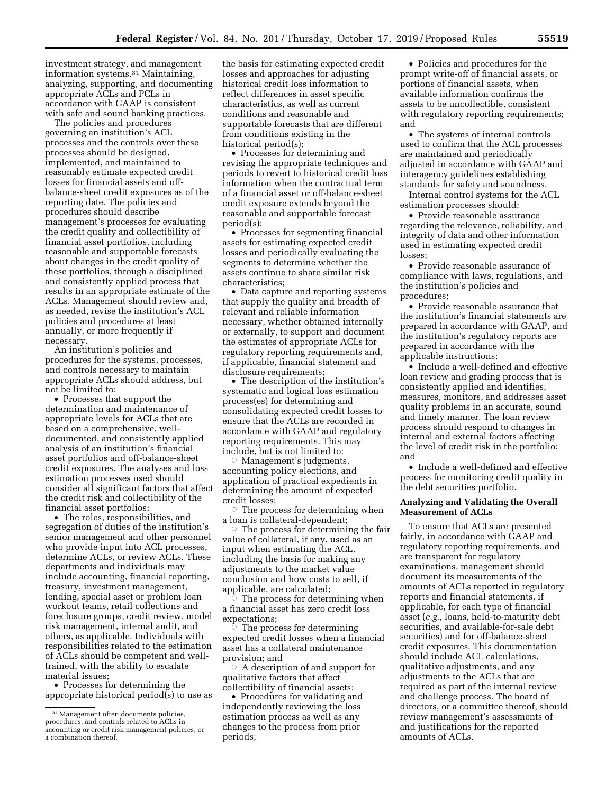investment strategy, and management information systems.31 Maintaining, analyzing, supporting, and documenting appropriate ACLs and PCLs in accordance with GAAP is consistent with safe and sound banking practices.

The policies and procedures governing an institution's ACL processes and the controls over these processes should be designed, implemented, and maintained to reasonably estimate expected credit losses for financial assets and offbalance-sheet credit exposures as of the reporting date. The policies and procedures should describe management's processes for evaluating the credit quality and collectibility of financial asset portfolios, including reasonable and supportable forecasts about changes in the credit quality of these portfolios, through a disciplined and consistently applied process that results in an appropriate estimate of the ACLs. Management should review and, as needed, revise the institution's ACL policies and procedures at least annually, or more frequently if necessary.

An institution's policies and procedures for the systems, processes, and controls necessary to maintain appropriate ACLs should address, but not be limited to:

• Processes that support the determination and maintenance of appropriate levels for ACLs that are based on a comprehensive, welldocumented, and consistently applied analysis of an institution's financial asset portfolios and off-balance-sheet credit exposures. The analyses and loss estimation processes used should consider all significant factors that affect the credit risk and collectibility of the financial asset portfolios;

• The roles, responsibilities, and segregation of duties of the institution's senior management and other personnel who provide input into ACL processes, determine ACLs, or review ACLs. These departments and individuals may include accounting, financial reporting, treasury, investment management, lending, special asset or problem loan workout teams, retail collections and foreclosure groups, credit review, model risk management, internal audit, and others, as applicable. Individuals with responsibilities related to the estimation of ACLs should be competent and welltrained, with the ability to escalate material issues;

• Processes for determining the appropriate historical period $(s)$  to use as

the basis for estimating expected credit losses and approaches for adjusting historical credit loss information to reflect differences in asset specific characteristics, as well as current conditions and reasonable and supportable forecasts that are different from conditions existing in the historical period(s);

• Processes for determining and revising the appropriate techniques and periods to revert to historical credit loss information when the contractual term of a financial asset or off-balance-sheet credit exposure extends beyond the reasonable and supportable forecast period(s);

• Processes for segmenting financial assets for estimating expected credit losses and periodically evaluating the segments to determine whether the assets continue to share similar risk characteristics;

• Data capture and reporting systems that supply the quality and breadth of relevant and reliable information necessary, whether obtained internally or externally, to support and document the estimates of appropriate ACLs for regulatory reporting requirements and, if applicable, financial statement and disclosure requirements;

• The description of the institution's systematic and logical loss estimation process(es) for determining and consolidating expected credit losses to ensure that the ACLs are recorded in accordance with GAAP and regulatory reporting requirements. This may include, but is not limited to:

Æ Management's judgments, accounting policy elections, and application of practical expedients in determining the amount of expected credit losses;

 $\circ$  The process for determining when a loan is collateral-dependent;

 $\circ$  The process for determining the fair value of collateral, if any, used as an input when estimating the ACL, including the basis for making any adjustments to the market value conclusion and how costs to sell, if applicable, are calculated; Æ

 The process for determining when a financial asset has zero credit loss expectations;

 $\overline{\circ}$  The process for determining expected credit losses when a financial asset has a collateral maintenance provision; and

 $\circ$  A description of and support for qualitative factors that affect collectibility of financial assets;

• Procedures for validating and independently reviewing the loss estimation process as well as any changes to the process from prior periods;

• Policies and procedures for the prompt write-off of financial assets, or portions of financial assets, when available information confirms the assets to be uncollectible, consistent with regulatory reporting requirements; and

• The systems of internal controls used to confirm that the ACL processes are maintained and periodically adjusted in accordance with GAAP and interagency guidelines establishing standards for safety and soundness.

Internal control systems for the ACL estimation processes should:

• Provide reasonable assurance regarding the relevance, reliability, and integrity of data and other information used in estimating expected credit losses;

• Provide reasonable assurance of compliance with laws, regulations, and the institution's policies and procedures;

• Provide reasonable assurance that the institution's financial statements are prepared in accordance with GAAP, and the institution's regulatory reports are prepared in accordance with the applicable instructions;

• Include a well-defined and effective loan review and grading process that is consistently applied and identifies, measures, monitors, and addresses asset quality problems in an accurate, sound and timely manner. The loan review process should respond to changes in internal and external factors affecting the level of credit risk in the portfolio; and

• Include a well-defined and effective process for monitoring credit quality in the debt securities portfolio.

# **Analyzing and Validating the Overall Measurement of ACLs**

To ensure that ACLs are presented fairly, in accordance with GAAP and regulatory reporting requirements, and are transparent for regulatory examinations, management should document its measurements of the amounts of ACLs reported in regulatory reports and financial statements, if applicable, for each type of financial asset (*e.g.,* loans, held-to-maturity debt securities, and available-for-sale debt securities) and for off-balance-sheet credit exposures. This documentation should include ACL calculations, qualitative adjustments, and any adjustments to the ACLs that are required as part of the internal review and challenge process. The board of directors, or a committee thereof, should review management's assessments of and justifications for the reported amounts of ACLs.

<sup>31</sup>Management often documents policies, procedures, and controls related to ACLs in accounting or credit risk management policies, or a combination thereof.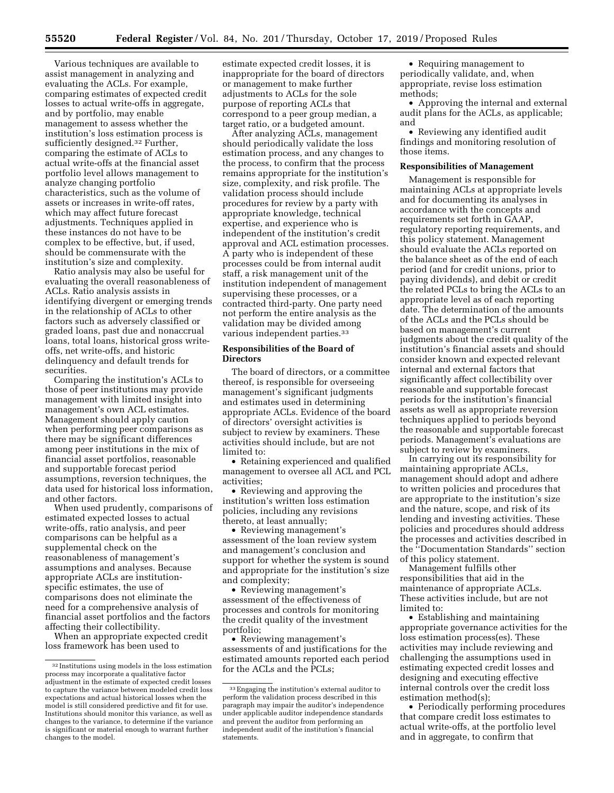Various techniques are available to assist management in analyzing and evaluating the ACLs. For example, comparing estimates of expected credit losses to actual write-offs in aggregate, and by portfolio, may enable management to assess whether the institution's loss estimation process is sufficiently designed.32 Further, comparing the estimate of ACLs to actual write-offs at the financial asset portfolio level allows management to analyze changing portfolio characteristics, such as the volume of assets or increases in write-off rates, which may affect future forecast adjustments. Techniques applied in these instances do not have to be complex to be effective, but, if used, should be commensurate with the institution's size and complexity.

Ratio analysis may also be useful for evaluating the overall reasonableness of ACLs. Ratio analysis assists in identifying divergent or emerging trends in the relationship of ACLs to other factors such as adversely classified or graded loans, past due and nonaccrual loans, total loans, historical gross writeoffs, net write-offs, and historic delinquency and default trends for securities.

Comparing the institution's ACLs to those of peer institutions may provide management with limited insight into management's own ACL estimates. Management should apply caution when performing peer comparisons as there may be significant differences among peer institutions in the mix of financial asset portfolios, reasonable and supportable forecast period assumptions, reversion techniques, the data used for historical loss information, and other factors.

When used prudently, comparisons of estimated expected losses to actual write-offs, ratio analysis, and peer comparisons can be helpful as a supplemental check on the reasonableness of management's assumptions and analyses. Because appropriate ACLs are institutionspecific estimates, the use of comparisons does not eliminate the need for a comprehensive analysis of financial asset portfolios and the factors affecting their collectibility.

When an appropriate expected credit loss framework has been used to

estimate expected credit losses, it is inappropriate for the board of directors or management to make further adjustments to ACLs for the sole purpose of reporting ACLs that correspond to a peer group median, a target ratio, or a budgeted amount.

After analyzing ACLs, management should periodically validate the loss estimation process, and any changes to the process, to confirm that the process remains appropriate for the institution's size, complexity, and risk profile. The validation process should include procedures for review by a party with appropriate knowledge, technical expertise, and experience who is independent of the institution's credit approval and ACL estimation processes. A party who is independent of these processes could be from internal audit staff, a risk management unit of the institution independent of management supervising these processes, or a contracted third-party. One party need not perform the entire analysis as the validation may be divided among various independent parties.33

# **Responsibilities of the Board of Directors**

The board of directors, or a committee thereof, is responsible for overseeing management's significant judgments and estimates used in determining appropriate ACLs. Evidence of the board of directors' oversight activities is subject to review by examiners. These activities should include, but are not limited to:

• Retaining experienced and qualified management to oversee all ACL and PCL activities;

• Reviewing and approving the institution's written loss estimation policies, including any revisions thereto, at least annually;

• Reviewing management's assessment of the loan review system and management's conclusion and support for whether the system is sound and appropriate for the institution's size and complexity;

• Reviewing management's assessment of the effectiveness of processes and controls for monitoring the credit quality of the investment portfolio;

• Reviewing management's assessments of and justifications for the estimated amounts reported each period for the ACLs and the PCLs;

• Requiring management to periodically validate, and, when appropriate, revise loss estimation methods;

• Approving the internal and external audit plans for the ACLs, as applicable; and

• Reviewing any identified audit findings and monitoring resolution of those items.

## **Responsibilities of Management**

Management is responsible for maintaining ACLs at appropriate levels and for documenting its analyses in accordance with the concepts and requirements set forth in GAAP, regulatory reporting requirements, and this policy statement. Management should evaluate the ACLs reported on the balance sheet as of the end of each period (and for credit unions, prior to paying dividends), and debit or credit the related PCLs to bring the ACLs to an appropriate level as of each reporting date. The determination of the amounts of the ACLs and the PCLs should be based on management's current judgments about the credit quality of the institution's financial assets and should consider known and expected relevant internal and external factors that significantly affect collectibility over reasonable and supportable forecast periods for the institution's financial assets as well as appropriate reversion techniques applied to periods beyond the reasonable and supportable forecast periods. Management's evaluations are subject to review by examiners.

In carrying out its responsibility for maintaining appropriate ACLs, management should adopt and adhere to written policies and procedures that are appropriate to the institution's size and the nature, scope, and risk of its lending and investing activities. These policies and procedures should address the processes and activities described in the ''Documentation Standards'' section of this policy statement.

Management fulfills other responsibilities that aid in the maintenance of appropriate ACLs. These activities include, but are not limited to:

• Establishing and maintaining appropriate governance activities for the loss estimation process(es). These activities may include reviewing and challenging the assumptions used in estimating expected credit losses and designing and executing effective internal controls over the credit loss estimation method(s);

• Periodically performing procedures that compare credit loss estimates to actual write-offs, at the portfolio level and in aggregate, to confirm that

<sup>32</sup> Institutions using models in the loss estimation process may incorporate a qualitative factor adjustment in the estimate of expected credit losses to capture the variance between modeled credit loss expectations and actual historical losses when the model is still considered predictive and fit for use. Institutions should monitor this variance, as well as changes to the variance, to determine if the variance is significant or material enough to warrant further changes to the model.

<sup>33</sup>Engaging the institution's external auditor to perform the validation process described in this paragraph may impair the auditor's independence under applicable auditor independence standards and prevent the auditor from performing an independent audit of the institution's financial statements.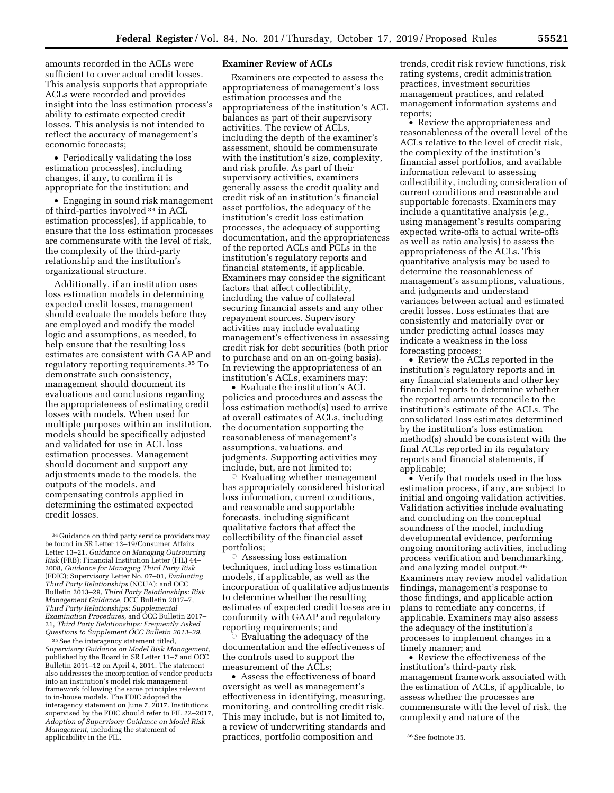amounts recorded in the ACLs were sufficient to cover actual credit losses. This analysis supports that appropriate ACLs were recorded and provides insight into the loss estimation process's ability to estimate expected credit losses. This analysis is not intended to reflect the accuracy of management's economic forecasts;

• Periodically validating the loss estimation process(es), including changes, if any, to confirm it is appropriate for the institution; and

• Engaging in sound risk management of third-parties involved 34 in ACL estimation process(es), if applicable, to ensure that the loss estimation processes are commensurate with the level of risk, the complexity of the third-party relationship and the institution's organizational structure.

Additionally, if an institution uses loss estimation models in determining expected credit losses, management should evaluate the models before they are employed and modify the model logic and assumptions, as needed, to help ensure that the resulting loss estimates are consistent with GAAP and regulatory reporting requirements.35 To demonstrate such consistency, management should document its evaluations and conclusions regarding the appropriateness of estimating credit losses with models. When used for multiple purposes within an institution, models should be specifically adjusted and validated for use in ACL loss estimation processes. Management should document and support any adjustments made to the models, the outputs of the models, and compensating controls applied in determining the estimated expected credit losses.

35See the interagency statement titled, *Supervisory Guidance on Model Risk Management,*  published by the Board in SR Letter 11–7 and OCC Bulletin 2011–12 on April 4, 2011. The statement also addresses the incorporation of vendor products into an institution's model risk management framework following the same principles relevant to in-house models. The FDIC adopted the interagency statement on June 7, 2017. Institutions supervised by the FDIC should refer to FIL 22–2017, *Adoption of Supervisory Guidance on Model Risk Management,* including the statement of applicability in the FIL.

# **Examiner Review of ACLs**

Examiners are expected to assess the appropriateness of management's loss estimation processes and the appropriateness of the institution's ACL balances as part of their supervisory activities. The review of ACLs, including the depth of the examiner's assessment, should be commensurate with the institution's size, complexity, and risk profile. As part of their supervisory activities, examiners generally assess the credit quality and credit risk of an institution's financial asset portfolios, the adequacy of the institution's credit loss estimation processes, the adequacy of supporting documentation, and the appropriateness of the reported ACLs and PCLs in the institution's regulatory reports and financial statements, if applicable. Examiners may consider the significant factors that affect collectibility, including the value of collateral securing financial assets and any other repayment sources. Supervisory activities may include evaluating management's effectiveness in assessing credit risk for debt securities (both prior to purchase and on an on-going basis). In reviewing the appropriateness of an institution's ACLs, examiners may:

• Evaluate the institution's ACL policies and procedures and assess the loss estimation method(s) used to arrive at overall estimates of ACLs, including the documentation supporting the reasonableness of management's assumptions, valuations, and judgments. Supporting activities may include, but, are not limited to:

 $\circ$  Evaluating whether management has appropriately considered historical loss information, current conditions, and reasonable and supportable forecasts, including significant qualitative factors that affect the collectibility of the financial asset portfolios;

 $\circ$  Assessing loss estimation techniques, including loss estimation models, if applicable, as well as the incorporation of qualitative adjustments to determine whether the resulting estimates of expected credit losses are in conformity with GAAP and regulatory reporting requirements; and

 $\circ$  Evaluating the adequacy of the documentation and the effectiveness of the controls used to support the measurement of the ACLs;

applicability in the FIL. **36** See footnote 35. • Assess the effectiveness of board oversight as well as management's effectiveness in identifying, measuring, monitoring, and controlling credit risk. This may include, but is not limited to, a review of underwriting standards and

trends, credit risk review functions, risk rating systems, credit administration practices, investment securities management practices, and related management information systems and reports;

• Review the appropriateness and reasonableness of the overall level of the ACLs relative to the level of credit risk, the complexity of the institution's financial asset portfolios, and available information relevant to assessing collectibility, including consideration of current conditions and reasonable and supportable forecasts. Examiners may include a quantitative analysis (*e.g.,*  using management's results comparing expected write-offs to actual write-offs as well as ratio analysis) to assess the appropriateness of the ACLs. This quantitative analysis may be used to determine the reasonableness of management's assumptions, valuations, and judgments and understand variances between actual and estimated credit losses. Loss estimates that are consistently and materially over or under predicting actual losses may indicate a weakness in the loss forecasting process;

• Review the ACLs reported in the institution's regulatory reports and in any financial statements and other key financial reports to determine whether the reported amounts reconcile to the institution's estimate of the ACLs. The consolidated loss estimates determined by the institution's loss estimation method(s) should be consistent with the final ACLs reported in its regulatory reports and financial statements, if applicable;

• Verify that models used in the loss estimation process, if any, are subject to initial and ongoing validation activities. Validation activities include evaluating and concluding on the conceptual soundness of the model, including developmental evidence, performing ongoing monitoring activities, including process verification and benchmarking, and analyzing model output.36 Examiners may review model validation findings, management's response to those findings, and applicable action plans to remediate any concerns, if applicable. Examiners may also assess the adequacy of the institution's processes to implement changes in a timely manner; and

• Review the effectiveness of the institution's third-party risk management framework associated with the estimation of ACLs, if applicable, to assess whether the processes are commensurate with the level of risk, the complexity and nature of the

<sup>34</sup> Guidance on third party service providers may be found in SR Letter 13–19/Consumer Affairs Letter 13–21, *Guidance on Managing Outsourcing Risk* (FRB); Financial Institution Letter (FIL) 44– 2008, *Guidance for Managing Third Party Risk*  (FDIC); Supervisory Letter No. 07–01, *Evaluating Third Party Relationships* (NCUA); and OCC Bulletin 2013–29, *Third Party Relationships: Risk Management Guidance,* OCC Bulletin 2017–7, *Third Party Relationships: Supplemental Examination Procedures,* and OCC Bulletin 2017– 21, *Third Party Relationships: Frequently Asked Questions to Supplement OCC Bulletin 2013–29*.